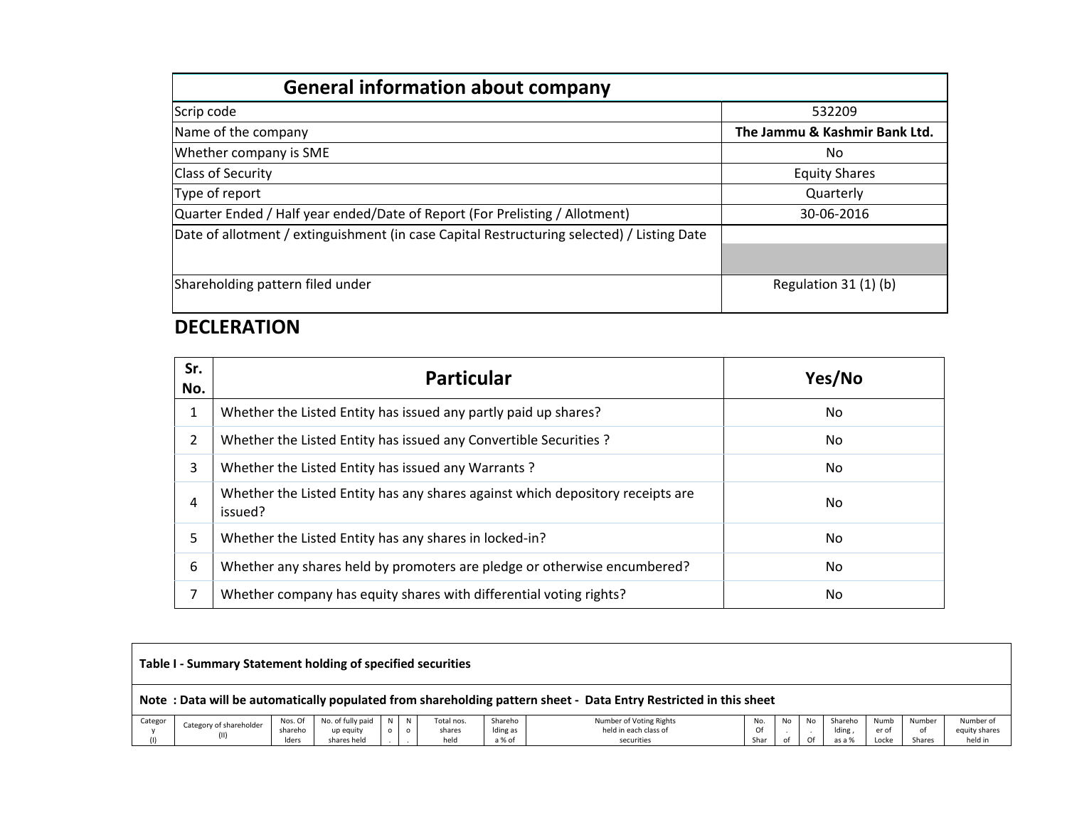| <b>General information about company</b>                                                   |                               |
|--------------------------------------------------------------------------------------------|-------------------------------|
| Scrip code                                                                                 | 532209                        |
| Name of the company                                                                        | The Jammu & Kashmir Bank Ltd. |
| Whether company is SME                                                                     | No.                           |
| <b>Class of Security</b>                                                                   | <b>Equity Shares</b>          |
| Type of report                                                                             | Quarterly                     |
| Quarter Ended / Half year ended/Date of Report (For Prelisting / Allotment)                | 30-06-2016                    |
| Date of allotment / extinguishment (in case Capital Restructuring selected) / Listing Date |                               |
|                                                                                            |                               |
| Shareholding pattern filed under                                                           | Regulation 31 (1) (b)         |

## **DECLERATION**

| Sr.<br>No. | <b>Particular</b>                                                                         | Yes/No |
|------------|-------------------------------------------------------------------------------------------|--------|
| 1          | Whether the Listed Entity has issued any partly paid up shares?                           | No     |
| 2          | Whether the Listed Entity has issued any Convertible Securities ?                         | No     |
| 3          | Whether the Listed Entity has issued any Warrants?                                        | No     |
| 4          | Whether the Listed Entity has any shares against which depository receipts are<br>issued? | No     |
| 5          | Whether the Listed Entity has any shares in locked-in?                                    | No     |
| 6          | Whether any shares held by promoters are pledge or otherwise encumbered?                  | No     |
| 7          | Whether company has equity shares with differential voting rights?                        | No     |

|         | Table I - Summary Statement holding of specified securities                                                      |                  |                          |         |         |                |                    |                                     |            |    |    |                  |                |              |                          |
|---------|------------------------------------------------------------------------------------------------------------------|------------------|--------------------------|---------|---------|----------------|--------------------|-------------------------------------|------------|----|----|------------------|----------------|--------------|--------------------------|
|         | Note: Data will be automatically populated from shareholding pattern sheet - Data Entry Restricted in this sheet |                  |                          |         |         |                |                    |                                     |            |    |    |                  |                |              |                          |
| Categor | Category of shareholder                                                                                          | Nos. Of          | No. of fully paid        | N       | N.      | Total nos.     | Shareho            | Number of Voting Rights             | No.        | No | No | Shareho          | Numb           | Number       | Number of                |
|         | (II)                                                                                                             | shareho<br>Iders | up equity<br>shares held | $\circ$ | $\circ$ | shares<br>held | Iding as<br>a % of | held in each class of<br>securities | Of<br>Shar |    | Of | lding,<br>as a % | er of<br>Locke | of<br>Shares | equity shares<br>held in |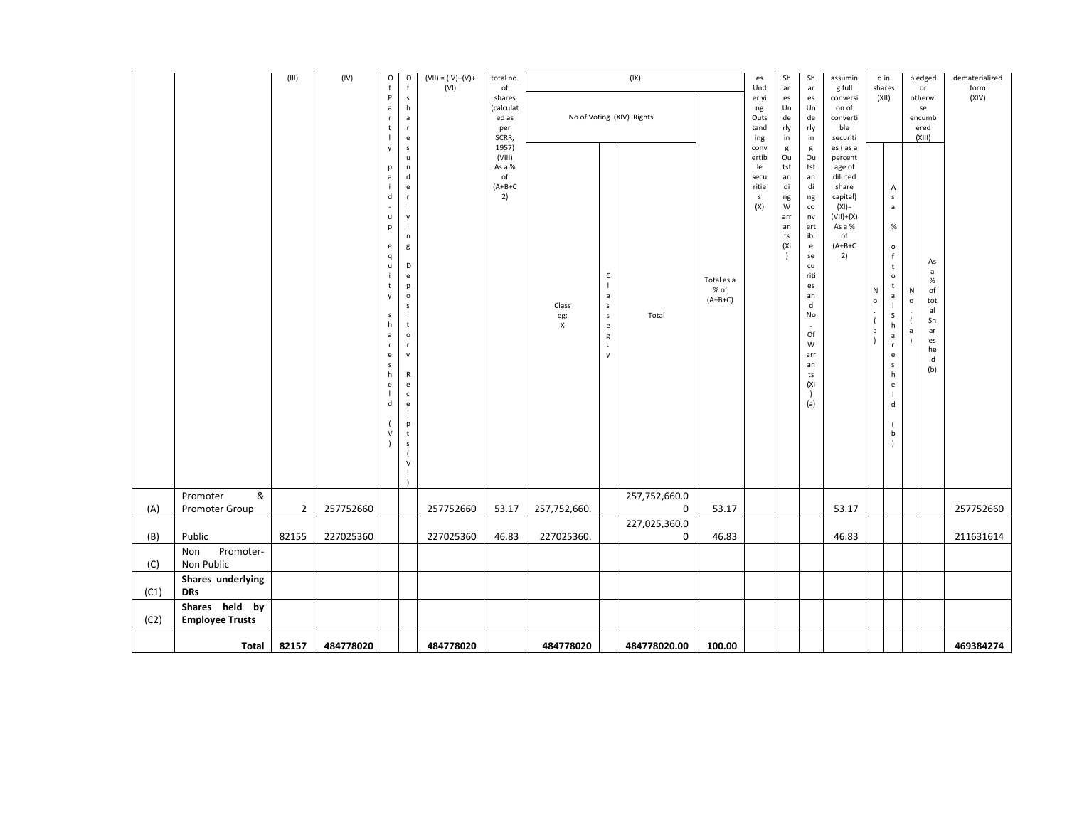|      |                                          | $(\sf III)$    | (IV)      | O<br>$\mathbf{f}$<br>P<br>a<br>r<br>t<br>y<br>p<br>a<br>d<br>u<br>p<br>e<br>q<br>u<br>t<br>y<br>s<br>h<br>a<br>e<br>s<br>h<br>e<br>d<br>V | $\circ$<br>f<br>$\mathsf{s}$<br>h<br>$\mathsf{a}$<br>$\mathbf r$<br>$\mathsf{e}% _{t}\left( t\right)$<br>$\mathsf S$<br>u<br>$\mathsf n$<br>$\mathsf{d}$<br>$\mathsf{e}% _{t}\left( t\right)$<br>$\mathbf{r}$<br>$\overline{1}$<br>y<br>÷<br>n<br>g<br>D<br>$\mathsf{e}% _{t}\left( t\right)$<br>$\mathsf{p}$<br>$\mathsf{o}$<br>$\sf s$<br>j<br>t<br>$\mathsf{o}$<br>$\mathbf{r}$<br>y<br>R<br>$\mathsf{e}% _{t}\left( t\right)$<br>$\mathsf{c}$<br>$\mathsf{e}% _{0}\left( \mathsf{e}\right)$<br>p<br>$\mathbf t$<br>$\mathsf S$<br>$\overline{(}$<br>$\mathsf{V}$<br>T | $(VII) = (IV)+(V)+$<br>(VI) | total no.<br>of<br>shares<br>(calculat<br>ed as<br>per<br>SCRR,<br>1957)<br>(VIII)<br>As a %<br>of<br>$(A+B+C)$<br>2) | Class<br>eg:<br>X | $\mathsf{C}$<br>$\overline{1}$<br>a<br>${\sf s}$<br>$\mathsf{s}$<br>e<br>g<br>$\div$<br>y | (IX)<br>No of Voting (XIV) Rights<br>Total | Total as a<br>% of<br>$(A+B+C)$ | es<br>Und<br>erlyi<br>ng<br>Outs<br>tand<br>ing<br>conv<br>ertib<br>le<br>secu<br>ritie<br>$\mathsf S$<br>(X) | Sh<br>ar<br>es<br>Un<br>de<br>rly<br>in<br>g<br>Ou<br>tst<br>an<br>di<br>ng<br>W<br>arr<br>an<br>ts<br>(Xi | Sh<br>ar<br>es<br>Un<br>de<br>rly<br>in<br>g<br>Ou<br>tst<br>an<br>di<br>ng<br>co<br>$n\mathsf{v}$<br>ert<br>ibl<br>$\mathsf{e}% _{0}\left( \mathsf{e}\right)$<br>se<br>cu<br>riti<br>es<br>an<br>d<br>No<br>Of<br>W<br>arr<br>an<br>ts<br>(Xi<br>(a) | assumin<br>g full<br>conversi<br>on of<br>converti<br>ble<br>securiti<br>es (as a<br>percent<br>age of<br>diluted<br>share<br>capital)<br>$(XI) =$<br>$(VII)+(X)$<br>As a %<br>of<br>$(A+B+C)$<br>2) | N<br>$\mathsf{o}$<br>$\overline{(\ }$<br>$\mathsf a$ | d in<br>shares<br>(XII)<br>$\mathsf A$<br>$\mathsf{s}$<br>$\mathsf a$<br>$\%$<br>$\mathsf{o}$<br>f<br>$\mathsf{t}$<br>$\mathsf{o}$<br>t<br>$\mathsf{a}$<br>$\overline{\phantom{a}}$<br>$\mathsf S$<br>h<br>$\mathsf{a}$<br>$\mathbf r$<br>$\mathsf{e}% _{0}\left( \mathsf{e}\right)$<br>$\mathsf S$<br>h<br>$\mathsf{e}% _{t}\left( t\right)$<br>$\mathbf{I}$<br>${\sf d}$<br>b | Ν<br>$\mathsf{o}\xspace$<br>a | pledged<br>or<br>otherwi<br>se<br>encumb<br>ered<br>(XIII)<br>As<br>$\mathsf{a}$<br>$\%$<br>of<br>tot<br>al<br>Sh<br>ar<br>es<br>he<br>Id<br>(b) | dematerialized<br>form<br>(XIV) |
|------|------------------------------------------|----------------|-----------|-------------------------------------------------------------------------------------------------------------------------------------------|---------------------------------------------------------------------------------------------------------------------------------------------------------------------------------------------------------------------------------------------------------------------------------------------------------------------------------------------------------------------------------------------------------------------------------------------------------------------------------------------------------------------------------------------------------------------------|-----------------------------|-----------------------------------------------------------------------------------------------------------------------|-------------------|-------------------------------------------------------------------------------------------|--------------------------------------------|---------------------------------|---------------------------------------------------------------------------------------------------------------|------------------------------------------------------------------------------------------------------------|-------------------------------------------------------------------------------------------------------------------------------------------------------------------------------------------------------------------------------------------------------|------------------------------------------------------------------------------------------------------------------------------------------------------------------------------------------------------|------------------------------------------------------|---------------------------------------------------------------------------------------------------------------------------------------------------------------------------------------------------------------------------------------------------------------------------------------------------------------------------------------------------------------------------------|-------------------------------|--------------------------------------------------------------------------------------------------------------------------------------------------|---------------------------------|
| (A)  | &<br>Promoter<br>Promoter Group          | $\overline{2}$ | 257752660 |                                                                                                                                           |                                                                                                                                                                                                                                                                                                                                                                                                                                                                                                                                                                           | 257752660                   | 53.17                                                                                                                 | 257,752,660.      |                                                                                           | 257,752,660.0<br>0                         | 53.17                           |                                                                                                               |                                                                                                            |                                                                                                                                                                                                                                                       | 53.17                                                                                                                                                                                                |                                                      |                                                                                                                                                                                                                                                                                                                                                                                 |                               |                                                                                                                                                  | 257752660                       |
| (B)  | Public                                   | 82155          | 227025360 |                                                                                                                                           |                                                                                                                                                                                                                                                                                                                                                                                                                                                                                                                                                                           | 227025360                   | 46.83                                                                                                                 | 227025360.        |                                                                                           | 227,025,360.0<br>0                         | 46.83                           |                                                                                                               |                                                                                                            |                                                                                                                                                                                                                                                       | 46.83                                                                                                                                                                                                |                                                      |                                                                                                                                                                                                                                                                                                                                                                                 |                               |                                                                                                                                                  | 211631614                       |
| (C)  | Promoter-<br>Non<br>Non Public           |                |           |                                                                                                                                           |                                                                                                                                                                                                                                                                                                                                                                                                                                                                                                                                                                           |                             |                                                                                                                       |                   |                                                                                           |                                            |                                 |                                                                                                               |                                                                                                            |                                                                                                                                                                                                                                                       |                                                                                                                                                                                                      |                                                      |                                                                                                                                                                                                                                                                                                                                                                                 |                               |                                                                                                                                                  |                                 |
| (C1) | Shares underlying<br><b>DRs</b>          |                |           |                                                                                                                                           |                                                                                                                                                                                                                                                                                                                                                                                                                                                                                                                                                                           |                             |                                                                                                                       |                   |                                                                                           |                                            |                                 |                                                                                                               |                                                                                                            |                                                                                                                                                                                                                                                       |                                                                                                                                                                                                      |                                                      |                                                                                                                                                                                                                                                                                                                                                                                 |                               |                                                                                                                                                  |                                 |
| (C2) | Shares held by<br><b>Employee Trusts</b> |                |           |                                                                                                                                           |                                                                                                                                                                                                                                                                                                                                                                                                                                                                                                                                                                           |                             |                                                                                                                       |                   |                                                                                           |                                            |                                 |                                                                                                               |                                                                                                            |                                                                                                                                                                                                                                                       |                                                                                                                                                                                                      |                                                      |                                                                                                                                                                                                                                                                                                                                                                                 |                               |                                                                                                                                                  |                                 |
|      | <b>Total</b>                             | 82157          | 484778020 |                                                                                                                                           |                                                                                                                                                                                                                                                                                                                                                                                                                                                                                                                                                                           | 484778020                   |                                                                                                                       | 484778020         |                                                                                           | 484778020.00                               | 100.00                          |                                                                                                               |                                                                                                            |                                                                                                                                                                                                                                                       |                                                                                                                                                                                                      |                                                      |                                                                                                                                                                                                                                                                                                                                                                                 |                               |                                                                                                                                                  | 469384274                       |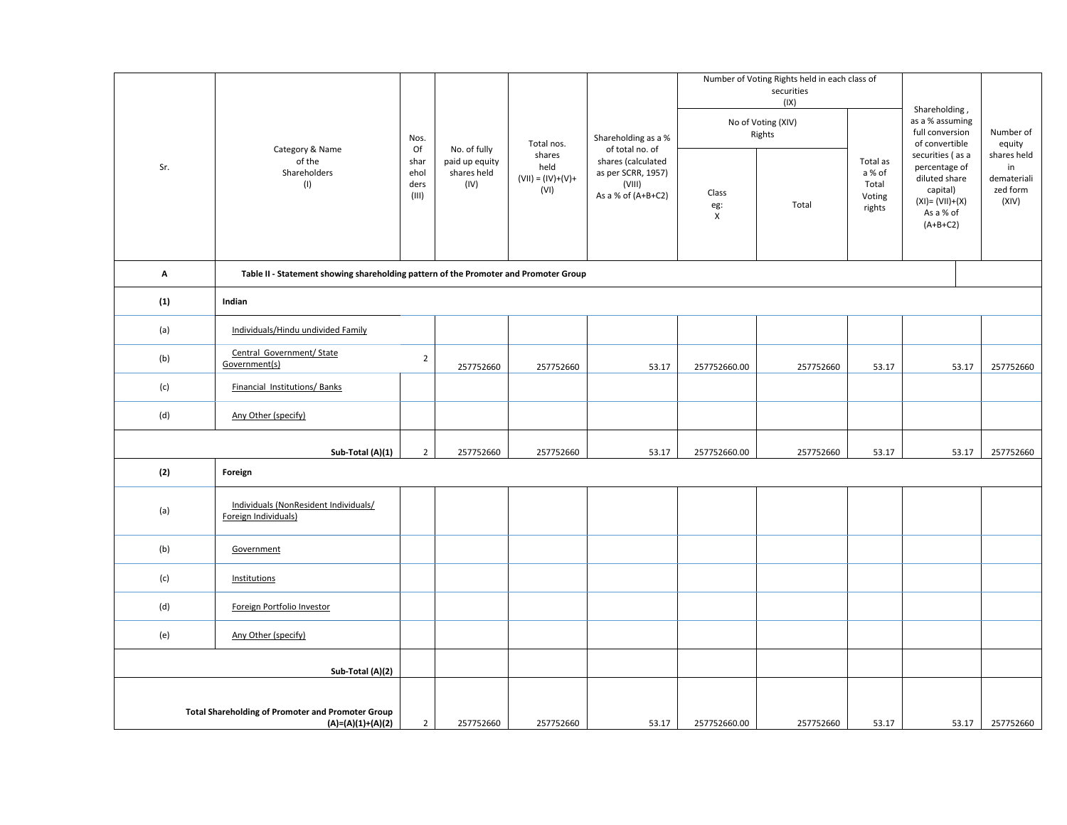| Sr. | Category & Name<br>of the<br>Shareholders<br>(1)                                     |                | No. of fully<br>paid up equity<br>shares held<br>(IV) | Total nos.<br>shares<br>held<br>$(VII) = (IV)+(V)+$<br>(VI) | Shareholding as a %<br>of total no. of<br>shares (calculated<br>as per SCRR, 1957)<br>(VIII)<br>As a % of (A+B+C2) | Class        | Number of Voting Rights held in each class of<br>securities<br>(IX)<br>No of Voting (XIV)<br>Rights<br>Total | Total as<br>a % of<br>Total<br>Voting | Shareholding,<br>as a % assuming<br>full conversion<br>of convertible<br>securities (as a<br>percentage of<br>diluted share<br>capital)<br>$(XI) = (VII)+(X)$ | Number of<br>equity<br>shares held<br>in<br>demateriali<br>zed form<br>(XIV) |
|-----|--------------------------------------------------------------------------------------|----------------|-------------------------------------------------------|-------------------------------------------------------------|--------------------------------------------------------------------------------------------------------------------|--------------|--------------------------------------------------------------------------------------------------------------|---------------------------------------|---------------------------------------------------------------------------------------------------------------------------------------------------------------|------------------------------------------------------------------------------|
|     |                                                                                      |                |                                                       |                                                             |                                                                                                                    | eg:<br>X     |                                                                                                              | rights                                | As a % of<br>$(A+B+C2)$                                                                                                                                       |                                                                              |
| A   | Table II - Statement showing shareholding pattern of the Promoter and Promoter Group |                |                                                       |                                                             |                                                                                                                    |              |                                                                                                              |                                       |                                                                                                                                                               |                                                                              |
| (1) | Indian                                                                               |                |                                                       |                                                             |                                                                                                                    |              |                                                                                                              |                                       |                                                                                                                                                               |                                                                              |
| (a) | Individuals/Hindu undivided Family                                                   |                |                                                       |                                                             |                                                                                                                    |              |                                                                                                              |                                       |                                                                                                                                                               |                                                                              |
| (b) | Central Government/ State<br>Government(s)                                           | $\overline{2}$ | 257752660                                             | 257752660                                                   | 53.17                                                                                                              | 257752660.00 | 257752660                                                                                                    | 53.17                                 | 53.17                                                                                                                                                         | 257752660                                                                    |
| (c) | Financial Institutions/Banks                                                         |                |                                                       |                                                             |                                                                                                                    |              |                                                                                                              |                                       |                                                                                                                                                               |                                                                              |
| (d) | Any Other (specify)                                                                  |                |                                                       |                                                             |                                                                                                                    |              |                                                                                                              |                                       |                                                                                                                                                               |                                                                              |
|     | Sub-Total (A)(1)                                                                     | $\overline{2}$ | 257752660                                             | 257752660                                                   | 53.17                                                                                                              | 257752660.00 | 257752660                                                                                                    | 53.17                                 | 53.17                                                                                                                                                         | 257752660                                                                    |
| (2) | Foreign                                                                              |                |                                                       |                                                             |                                                                                                                    |              |                                                                                                              |                                       |                                                                                                                                                               |                                                                              |
| (a) | Individuals (NonResident Individuals/<br>Foreign Individuals)                        |                |                                                       |                                                             |                                                                                                                    |              |                                                                                                              |                                       |                                                                                                                                                               |                                                                              |
| (b) | Government                                                                           |                |                                                       |                                                             |                                                                                                                    |              |                                                                                                              |                                       |                                                                                                                                                               |                                                                              |
| (c) | Institutions                                                                         |                |                                                       |                                                             |                                                                                                                    |              |                                                                                                              |                                       |                                                                                                                                                               |                                                                              |
| (d) | Foreign Portfolio Investor                                                           |                |                                                       |                                                             |                                                                                                                    |              |                                                                                                              |                                       |                                                                                                                                                               |                                                                              |
| (e) | Any Other (specify)                                                                  |                |                                                       |                                                             |                                                                                                                    |              |                                                                                                              |                                       |                                                                                                                                                               |                                                                              |
|     | Sub-Total (A)(2)                                                                     |                |                                                       |                                                             |                                                                                                                    |              |                                                                                                              |                                       |                                                                                                                                                               |                                                                              |
|     | <b>Total Shareholding of Promoter and Promoter Group</b><br>$(A)=(A)(1)+(A)(2)$      | $\overline{2}$ | 257752660                                             | 257752660                                                   | 53.17                                                                                                              | 257752660.00 | 257752660                                                                                                    | 53.17                                 | 53.17                                                                                                                                                         | 257752660                                                                    |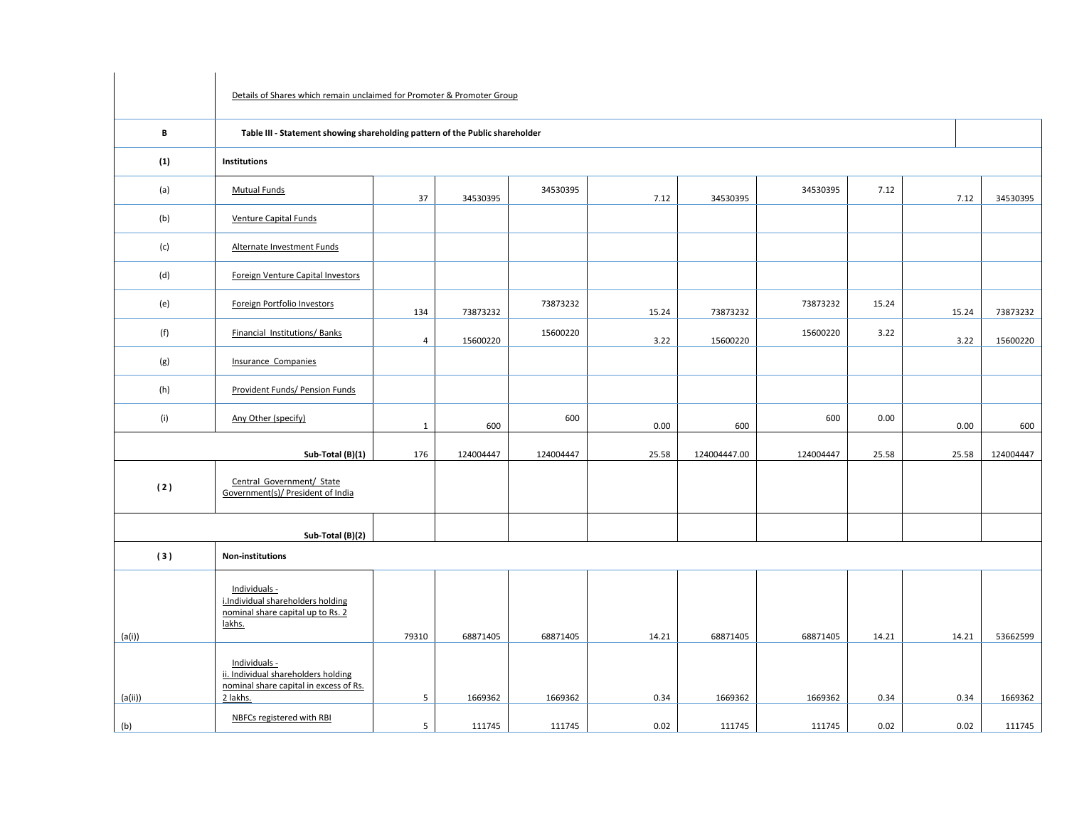|         | Details of Shares which remain unclaimed for Promoter & Promoter Group                            |                |           |           |       |              |           |       |       |           |  |  |  |  |  |
|---------|---------------------------------------------------------------------------------------------------|----------------|-----------|-----------|-------|--------------|-----------|-------|-------|-----------|--|--|--|--|--|
| В       | Table III - Statement showing shareholding pattern of the Public shareholder                      |                |           |           |       |              |           |       |       |           |  |  |  |  |  |
| (1)     | Institutions                                                                                      |                |           |           |       |              |           |       |       |           |  |  |  |  |  |
| (a)     | <b>Mutual Funds</b>                                                                               | 37             | 34530395  | 34530395  | 7.12  | 34530395     | 34530395  | 7.12  | 7.12  | 34530395  |  |  |  |  |  |
| (b)     | <b>Venture Capital Funds</b>                                                                      |                |           |           |       |              |           |       |       |           |  |  |  |  |  |
| (c)     | Alternate Investment Funds                                                                        |                |           |           |       |              |           |       |       |           |  |  |  |  |  |
| (d)     | Foreign Venture Capital Investors                                                                 |                |           |           |       |              |           |       |       |           |  |  |  |  |  |
| (e)     | Foreign Portfolio Investors                                                                       | 134            | 73873232  | 73873232  | 15.24 | 73873232     | 73873232  | 15.24 | 15.24 | 73873232  |  |  |  |  |  |
| (f)     | Financial Institutions/Banks                                                                      | $\overline{4}$ | 15600220  | 15600220  | 3.22  | 15600220     | 15600220  | 3.22  | 3.22  | 15600220  |  |  |  |  |  |
| (g)     | <b>Insurance Companies</b>                                                                        |                |           |           |       |              |           |       |       |           |  |  |  |  |  |
| (h)     | Provident Funds/ Pension Funds                                                                    |                |           |           |       |              |           |       |       |           |  |  |  |  |  |
| (i)     | Any Other (specify)                                                                               | $\mathbf{1}$   | 600       | 600       | 0.00  | 600          | 600       | 0.00  | 0.00  | 600       |  |  |  |  |  |
|         | Sub-Total (B)(1)                                                                                  | 176            | 124004447 | 124004447 | 25.58 | 124004447.00 | 124004447 | 25.58 | 25.58 | 124004447 |  |  |  |  |  |
| (2)     | Central Government/ State<br>Government(s)/ President of India                                    |                |           |           |       |              |           |       |       |           |  |  |  |  |  |
|         | Sub-Total (B)(2)                                                                                  |                |           |           |       |              |           |       |       |           |  |  |  |  |  |
| (3)     | <b>Non-institutions</b>                                                                           |                |           |           |       |              |           |       |       |           |  |  |  |  |  |
| (a(i))  | Individuals -<br>i.Individual shareholders holding<br>nominal share capital up to Rs. 2<br>lakhs. | 79310          | 68871405  | 68871405  | 14.21 | 68871405     | 68871405  | 14.21 | 14.21 | 53662599  |  |  |  |  |  |
|         | Individuals -<br>ii. Individual shareholders holding<br>nominal share capital in excess of Rs.    |                |           |           |       |              |           |       |       |           |  |  |  |  |  |
| (a(ii)) | 2 lakhs.<br>NBFCs registered with RBI                                                             | 5              | 1669362   | 1669362   | 0.34  | 1669362      | 1669362   | 0.34  | 0.34  | 1669362   |  |  |  |  |  |
| (b)     |                                                                                                   | $5^{\circ}$    | 111745    | 111745    | 0.02  | 111745       | 111745    | 0.02  | 0.02  | 111745    |  |  |  |  |  |